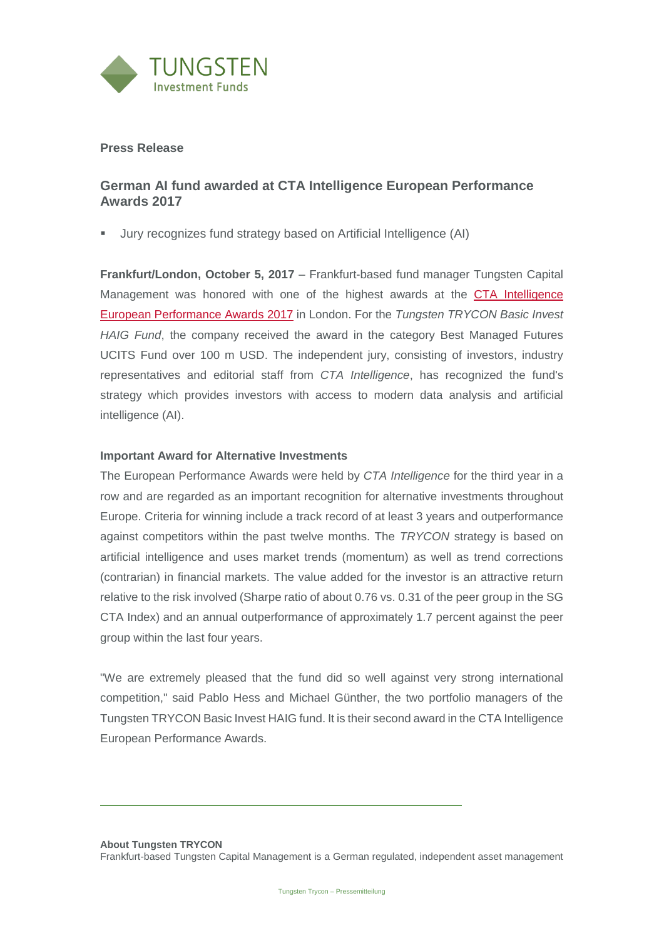

## **Press Release**

## **German AI fund awarded at CTA Intelligence European Performance Awards 2017**

▪ Jury recognizes fund strategy based on Artificial Intelligence (AI)

**Frankfurt/London, October 5, 2017** – Frankfurt-based fund manager Tungsten Capital Management was honored with one of the highest awards at the [CTA Intelligence](https://www.eiseverywhere.com/ehome/index.php?eventid=255010&tabid=567787)  [European Performance Awards 2017](https://www.eiseverywhere.com/ehome/index.php?eventid=255010&tabid=567787) in London. For the *Tungsten TRYCON Basic Invest HAIG Fund*, the company received the award in the category Best Managed Futures UCITS Fund over 100 m USD. The independent jury, consisting of investors, industry representatives and editorial staff from *CTA Intelligence*, has recognized the fund's strategy which provides investors with access to modern data analysis and artificial intelligence (AI).

## **Important Award for Alternative Investments**

The European Performance Awards were held by *CTA Intelligence* for the third year in a row and are regarded as an important recognition for alternative investments throughout Europe. Criteria for winning include a track record of at least 3 years and outperformance against competitors within the past twelve months. The *TRYCON* strategy is based on artificial intelligence and uses market trends (momentum) as well as trend corrections (contrarian) in financial markets. The value added for the investor is an attractive return relative to the risk involved (Sharpe ratio of about 0.76 vs. 0.31 of the peer group in the SG CTA Index) and an annual outperformance of approximately 1.7 percent against the peer group within the last four years.

"We are extremely pleased that the fund did so well against very strong international competition," said Pablo Hess and Michael Günther, the two portfolio managers of the Tungsten TRYCON Basic Invest HAIG fund. It is their second award in the CTA Intelligence European Performance Awards.